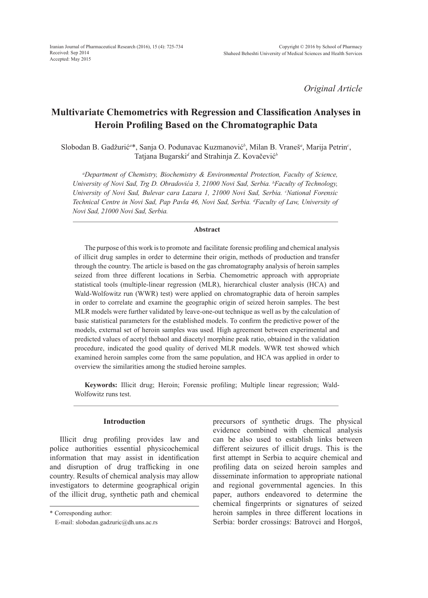*Original Article*

# **Multivariate Chemometrics with Regression and Classification Analyses in Heroin Profiling Based on the Chromatographic Data**

Slobodan B. Gadžurić*<sup>a</sup>* \*, Sanja O. Podunavac Kuzmanović*<sup>b</sup>* , Milan B. Vraneš*<sup>a</sup>* , Marija Petrin*<sup>c</sup>* , Tatjana Bugarski*<sup>d</sup>* and Strahinja Z. Kovačević*<sup>b</sup>*

*a Department of Chemistry, Biochemistry & Environmental Protection, Faculty of Science, University of Novi Sad, Trg D. Obradovića 3, 21000 Novi Sad, Serbia. <sup>b</sup> Faculty of Technology,*  University of Novi Sad, Bulevar cara Lazara 1, 21000 Novi Sad, Serbia. <sup>*c*</sup>National Forensic *Technical Centre in Novi Sad, Pap Pavla 46, Novi Sad, Serbia. d Faculty of Law, University of Novi Sad, 21000 Novi Sad, Serbia.*

## **Abstract**

The purpose of this work is to promote and facilitate forensic profiling and chemical analysis of illicit drug samples in order to determine their origin, methods of production and transfer through the country. The article is based on the gas chromatography analysis of heroin samples seized from three different locations in Serbia. Chemometric approach with appropriate statistical tools (multiple-linear regression (MLR), hierarchical cluster analysis (HCA) and Wald-Wolfowitz run (WWR) test) were applied on chromatographic data of heroin samples in order to correlate and examine the geographic origin of seized heroin samples. The best MLR models were further validated by leave-one-out technique as well as by the calculation of basic statistical parameters for the established models. To confirm the predictive power of the models, external set of heroin samples was used. High agreement between experimental and predicted values of acetyl thebaol and diacetyl morphine peak ratio, obtained in the validation procedure, indicated the good quality of derived MLR models. WWR test showed which examined heroin samples come from the same population, and HCA was applied in order to overview the similarities among the studied heroine samples.

**Keywords:** Illicit drug; Heroin; Forensic profiling; Multiple linear regression; Wald-Wolfowitz runs test.

## **Introduction**

Illicit drug profiling provides law and police authorities essential physicochemical information that may assist in identification and disruption of drug trafficking in one country. Results of chemical analysis may allow investigators to determine geographical origin of the illicit drug, synthetic path and chemical

\* Corresponding author:

precursors of synthetic drugs. The physical evidence combined with chemical analysis can be also used to establish links between different seizures of illicit drugs. This is the first attempt in Serbia to acquire chemical and profiling data on seized heroin samples and disseminate information to appropriate national and regional governmental agencies. In this paper, authors endeavored to determine the chemical fingerprints or signatures of seized heroin samples in three different locations in Serbia: border crossings: Batrovci and Horgoš,

E-mail: slobodan.gadzuric@dh.uns.ac.rs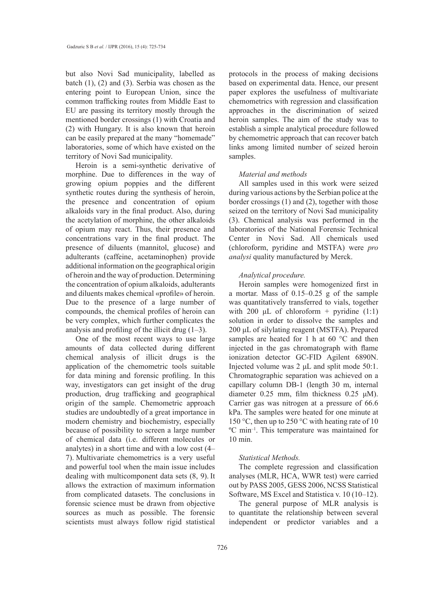but also Novi Sad municipality, labelled as batch (1), (2) and (3). Serbia was chosen as the entering point to European Union, since the common trafficking routes from Middle East to EU are passing its territory mostly through the mentioned border crossings (1) with Croatia and (2) with Hungary. It is also known that heroin can be easily prepared at the many "homemade" laboratories, some of which have existed on the territory of Novi Sad municipality.

Heroin is a semi-synthetic derivative of morphine. Due to differences in the way of growing opium poppies and the different synthetic routes during the synthesis of heroin, the presence and concentration of opium alkaloids vary in the final product. Also, during the acetylation of morphine, the other alkaloids of opium may react. Thus, their presence and concentrations vary in the final product. The presence of diluents (mannitol, glucose) and adulterants (caffeine, acetaminophen) provide additional information on the geographical origin of heroin and the way of production. Determining the concentration of opium alkaloids, adulterants and diluents makes chemical «profile» of heroin. Due to the presence of a large number of compounds, the chemical profiles of heroin can be very complex, which further complicates the analysis and profiling of the illicit drug  $(1-3)$ .

One of the most recent ways to use large amounts of data collected during different chemical analysis of illicit drugs is the application of the chemometric tools suitable for data mining and forensic profiling. In this way, investigators can get insight of the drug production, drug trafficking and geographical origin of the sample. Chemometric approach studies are undoubtedly of a great importance in modern chemistry and biochemistry, especially because of possibility to screen a large number of chemical data (i.e. different molecules or analytes) in a short time and with a low cost (4– 7). Multivariate chemometrics is a very useful and powerful tool when the main issue includes dealing with multicomponent data sets (8, 9). It allows the extraction of maximum information from complicated datasets. The conclusions in forensic science must be drawn from objective sources as much as possible. The forensic scientists must always follow rigid statistical

protocols in the process of making decisions based on experimental data. Hence, our present paper explores the usefulness of multivariate chemometrics with regression and classification approaches in the discrimination of seized heroin samples. The aim of the study was to establish a simple analytical procedure followed by chemometric approach that can recover batch links among limited number of seized heroin samples.

#### *Material and methods*

All samples used in this work were seized during various actions by the Serbian police at the border crossings (1) and (2), together with those seized on the territory of Novi Sad municipality (3). Chemical analysis was performed in the laboratories of the National Forensic Technical Center in Novi Sad. All chemicals used (chloroform, pyridine and MSTFA) were *pro analysi* quality manufactured by Merck.

#### *Analytical procedure.*

Heroin samples were homogenized first in a mortar. Mass of 0.15–0.25 g of the sample was quantitatively transferred to vials, together with 200  $\mu$ L of chloroform + pyridine (1:1) solution in order to dissolve the samples and 200 μL of silylating reagent (MSTFA). Prepared samples are heated for 1 h at 60 °C and then injected in the gas chromatograph with flame ionization detector GC-FID Agilent 6890N. Injected volume was 2 μL and split mode 50:1. Chromatographic separation was achieved on a capillary column DB-1 (length 30 m, internal diameter 0.25 mm, film thickness 0.25 μM). Carrier gas was nitrogen at a pressure of 66.6 kPa. The samples were heated for one minute at 150 °C, then up to 250 °C with heating rate of 10 ºC min–1. This temperature was maintained for 10 min.

#### *Statistical Methods.*

The complete regression and classification analyses (MLR, HCA, WWR test) were carried out by PASS 2005, GESS 2006, NCSS Statistical Software, MS Excel and Statistica v. 10 (10–12).

The general purpose of MLR analysis is to quantitate the relationship between several independent or predictor variables and a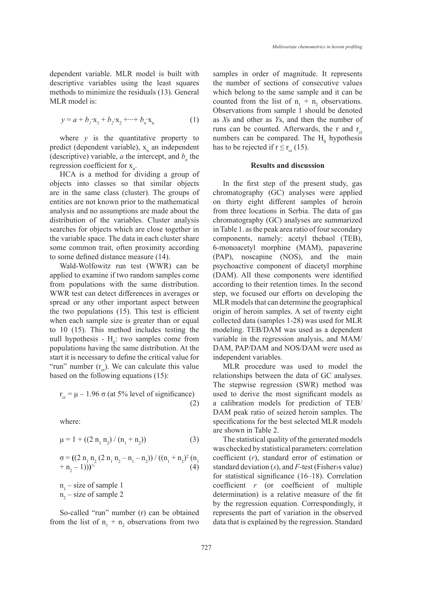dependent variable. MLR model is built with descriptive variables using the least squares methods to minimize the residuals (13). General MLR model is:

$$
y = a + b_1 x_1 + b_2 x_2 + \dots + b_n x_n
$$
 (1)

where  $y$  is the quantitative property to predict (dependent variable),  $x_n$  an independent (descriptive) variable,  $a$  the intercept, and  $b_n$  the regression coefficient for  $x_n$ .

HCA is a method for dividing a group of objects into classes so that similar objects are in the same class (cluster). The groups of entities are not known prior to the mathematical analysis and no assumptions are made about the distribution of the variables. Cluster analysis searches for objects which are close together in the variable space. The data in each cluster share some common trait, often proximity according to some defined distance measure (14).

Wald-Wolfowitz run test (WWR) can be applied to examine if two random samples come from populations with the same distribution. WWR test can detect differences in averages or spread or any other important aspect between the two populations (15). This test is efficient when each sample size is greater than or equal to 10 (15). This method includes testing the null hypothesis -  $H_0$ : two samples come from populations having the same distribution. At the start it is necessary to define the critical value for "run" number  $(r_{cr})$ . We can calculate this value based on the following equations (15):

$$
r_{cr} = \mu - 1.96 \sigma \text{ (at 5% level of significance)} \tag{2}
$$

where:

$$
\mu = 1 + ((2 n_1 n_2) / (n_1 + n_2))
$$
 (3)

$$
\sigma = ((2 n_1 n_2 (2 n_1 n_2 - n_1 - n_2)) / ((n_1 + n_2)^2 (n_1 + n_2 - 1)))^{1/2}
$$
\n
$$
(4)
$$

 $n_1$  – size of sample 1  $n_2$  – size of sample 2

So-called "run" number (r) can be obtained from the list of  $n_1 + n_2$  observations from two samples in order of magnitude. It represents the number of sections of consecutive values which belong to the same sample and it can be counted from the list of  $n_1 + n_2$  observations. Observations from sample 1 should be denoted as *X*s and other as *Y*s, and then the number of runs can be counted. Afterwards, the r and  $r_{cr}$ numbers can be compared. The  $H_0$  hypothesis has to be rejected if  $r \le r_{cr}$  (15).

#### **Results and discussion**

In the first step of the present study, gas chromatography (GC) analyses were applied on thirty eight different samples of heroin from three locations in Serbia. The data of gas chromatography (GC) analyses are summarized in Table 1. as the peak area ratio of four secondary components, namely: acetyl thebaol (TEB), 6-monoacetyl morphine (MAM), papaverine (PAP), noscapine (NOS), and the main psychoactive component of diacetyl morphine (DAM). All these components were identified according to their retention times. In the second step, we focused our efforts on developing the MLR models that can determine the geographical origin of heroin samples. A set of twenty eight collected data (samples 1-28) was used for MLR modeling. TEB/DAM was used as a dependent variable in the regression analysis, and MAM/ DAM, PAP/DAM and NOS/DAM were used as independent variables.

MLR procedure was used to model the relationships between the data of GC analyses. The stepwise regression (SWR) method was used to derive the most significant models as a calibration models for prediction of TEB/ DAM peak ratio of seized heroin samples. The specifications for the best selected MLR models are shown in Table 2.

The statistical quality of the generated models was checked by statistical parameters: correlation coefficient (*r*), standard error of estimation or standard deviation (*s*), and *F*-test (Fisher›s value) for statistical significance (16–18). Correlation coefficient *r* (or coefficient of multiple determination) is a relative measure of the fit by the regression equation. Correspondingly, it represents the part of variation in the observed data that is explained by the regression. Standard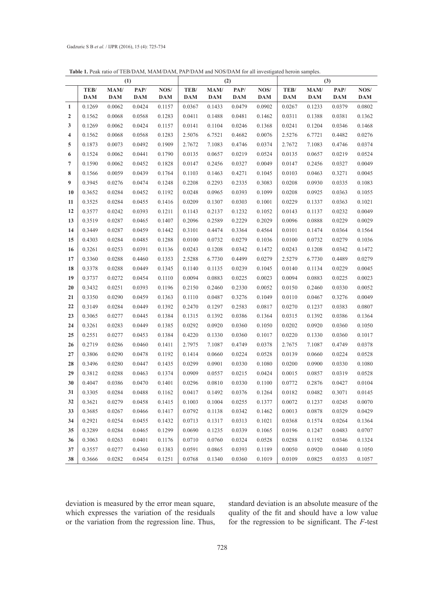| (1)                     |            |            | <b>Table 1.</b> I can fatto of TED/DAM, MAM/DAM, IAI/DAM and NOS/DAM for all investigated nefold samples.<br>(2) |            |            |            | (3)        |            |            |            |            |            |
|-------------------------|------------|------------|------------------------------------------------------------------------------------------------------------------|------------|------------|------------|------------|------------|------------|------------|------------|------------|
|                         | TEB/       | MAM/       | PAP/                                                                                                             | NOS/       | TEB/       | MAM/       | PAP/       | NOS/       | TEB/       | MAM/       | PAP/       | NOS/       |
|                         | <b>DAM</b> | <b>DAM</b> | <b>DAM</b>                                                                                                       | <b>DAM</b> | <b>DAM</b> | <b>DAM</b> | <b>DAM</b> | <b>DAM</b> | <b>DAM</b> | <b>DAM</b> | <b>DAM</b> | <b>DAM</b> |
| 1                       | 0.1269     | 0.0062     | 0.0424                                                                                                           | 0.1157     | 0.0367     | 0.1433     | 0.0479     | 0.0902     | 0.0267     | 0.1233     | 0.0379     | 0.0802     |
| $\boldsymbol{2}$        | 0.1562     | 0.0068     | 0.0568                                                                                                           | 0.1283     | 0.0411     | 0.1488     | 0.0481     | 0.1462     | 0.0311     | 0.1388     | 0.0381     | 0.1362     |
| 3                       | 0.1269     | 0.0062     | 0.0424                                                                                                           | 0.1157     | 0.0141     | 0.1104     | 0.0246     | 0.1368     | 0.0241     | 0.1204     | 0.0346     | 0.1468     |
| $\overline{\mathbf{4}}$ | 0.1562     | 0.0068     | 0.0568                                                                                                           | 0.1283     | 2.5076     | 6.7521     | 0.4682     | 0.0076     | 2.5276     | 6.7721     | 0.4482     | 0.0276     |
| 5                       | 0.1873     | 0.0073     | 0.0492                                                                                                           | 0.1909     | 2.7672     | 7.1083     | 0.4746     | 0.0374     | 2.7672     | 7.1083     | 0.4746     | 0.0374     |
| 6                       | 0.1524     | 0.0062     | 0.0441                                                                                                           | 0.1790     | 0.0135     | 0.0657     | 0.0219     | 0.0524     | 0.0135     | 0.0657     | 0.0219     | 0.0524     |
| $\overline{7}$          | 0.1590     | 0.0062     | 0.0452                                                                                                           | 0.1828     | 0.0147     | 0.2456     | 0.0327     | 0.0049     | 0.0147     | 0.2456     | 0.0327     | 0.0049     |
| 8                       | 0.1566     | 0.0059     | 0.0439                                                                                                           | 0.1764     | 0.1103     | 0.1463     | 0.4271     | 0.1045     | 0.0103     | 0.0463     | 0.3271     | 0.0045     |
| 9                       | 0.3945     | 0.0276     | 0.0474                                                                                                           | 0.1248     | 0.2208     | 0.2293     | 0.2335     | 0.3083     | 0.0208     | 0.0930     | 0.0335     | 0.1083     |
| 10                      | 0.3652     | 0.0284     | 0.0452                                                                                                           | 0.1192     | 0.0248     | 0.0965     | 0.0393     | 0.1099     | 0.0208     | 0.0925     | 0.0363     | 0.1055     |
| 11                      | 0.3525     | 0.0284     | 0.0455                                                                                                           | 0.1416     | 0.0209     | 0.1307     | 0.0303     | 0.1001     | 0.0229     | 0.1337     | 0.0363     | 0.1021     |
| 12                      | 0.3577     | 0.0242     | 0.0393                                                                                                           | 0.1211     | 0.1143     | 0.2137     | 0.1232     | 0.1052     | 0.0143     | 0.1137     | 0.0232     | 0.0049     |
| 13                      | 0.3519     | 0.0287     | 0.0465                                                                                                           | 0.1407     | 0.2096     | 0.2589     | 0.2229     | 0.2029     | 0.0096     | 0.0888     | 0.0229     | 0.0029     |
| 14                      | 0.3449     | 0.0287     | 0.0459                                                                                                           | 0.1442     | 0.3101     | 0.4474     | 0.3364     | 0.4564     | 0.0101     | 0.1474     | 0.0364     | 0.1564     |
| 15                      | 0.4303     | 0.0284     | 0.0485                                                                                                           | 0.1288     | 0.0100     | 0.0732     | 0.0279     | 0.1036     | 0.0100     | 0.0732     | 0.0279     | 0.1036     |
| 16                      | 0.3261     | 0.0253     | 0.0391                                                                                                           | 0.1136     | 0.0243     | 0.1208     | 0.0342     | 0.1472     | 0.0243     | 0.1208     | 0.0342     | 0.1472     |
| 17                      | 0.3360     | 0.0288     | 0.4460                                                                                                           | 0.1353     | 2.5288     | 6.7730     | 0.4499     | 0.0279     | 2.5279     | 6.7730     | 0.4489     | 0.0279     |
| 18                      | 0.3378     | 0.0288     | 0.0449                                                                                                           | 0.1345     | 0.1140     | 0.1135     | 0.0239     | 0.1045     | 0.0140     | 0.1134     | 0.0229     | 0.0045     |
| 19                      | 0.3737     | 0.0272     | 0.0454                                                                                                           | 0.1110     | 0.0094     | 0.0883     | 0.0225     | 0.0023     | 0.0094     | 0.0883     | 0.0225     | 0.0023     |
| 20                      | 0.3432     | 0.0251     | 0.0393                                                                                                           | 0.1196     | 0.2150     | 0.2460     | 0.2330     | 0.0052     | 0.0150     | 0.2460     | 0.0330     | 0.0052     |
| 21                      | 0.3350     | 0.0290     | 0.0459                                                                                                           | 0.1363     | 0.1110     | 0.0487     | 0.3276     | 0.1049     | 0.0110     | 0.0467     | 0.3276     | 0.0049     |
| 22                      | 0.3149     | 0.0284     | 0.0449                                                                                                           | 0.1392     | 0.2470     | 0.1297     | 0.2583     | 0.0817     | 0.0270     | 0.1237     | 0.0383     | 0.0807     |
| 23                      | 0.3065     | 0.0277     | 0.0445                                                                                                           | 0.1384     | 0.1315     | 0.1392     | 0.0386     | 0.1364     | 0.0315     | 0.1392     | 0.0386     | 0.1364     |
| 24                      | 0.3261     | 0.0283     | 0.0449                                                                                                           | 0.1385     | 0.0292     | 0.0920     | 0.0360     | 0.1050     | 0.0202     | 0.0920     | 0.0360     | 0.1050     |
| 25                      | 0.2551     | 0.0277     | 0.0453                                                                                                           | 0.1384     | 0.4220     | 0.1330     | 0.0360     | 0.1017     | 0.0220     | 0.1330     | 0.0360     | 0.1017     |
| 26                      | 0.2719     | 0.0286     | 0.0460                                                                                                           | 0.1411     | 2.7975     | 7.1087     | 0.4749     | 0.0378     | 2.7675     | 7.1087     | 0.4749     | 0.0378     |
| 27                      | 0.3806     | 0.0290     | 0.0478                                                                                                           | 0.1192     | 0.1414     | 0.0660     | 0.0224     | 0.0528     | 0.0139     | 0.0660     | 0.0224     | 0.0528     |
| 28                      | 0.3496     | 0.0280     | 0.0447                                                                                                           | 0.1435     | 0.0299     | 0.0901     | 0.0330     | 0.1080     | 0.0200     | 0.0900     | 0.0330     | 0.1080     |
| 29                      | 0.3812     | 0.0288     | 0.0463                                                                                                           | 0.1374     | 0.0909     | 0.0557     | 0.0215     | 0.0424     | 0.0015     | 0.0857     | 0.0319     | 0.0528     |
| 30                      | 0.4047     | 0.0386     | 0.0470                                                                                                           | 0.1401     | 0.0296     | 0.0810     | 0.0330     | 0.1100     | 0.0772     | 0.2876     | 0.0427     | 0.0104     |
| 31                      | 0.3305     | 0.0284     | 0.0488                                                                                                           | 0.1162     | 0.0417     | 0.1492     | 0.0376     | 0.1264     | 0.0182     | 0.0482     | 0.3071     | 0.0145     |
| 32                      | 0.3621     | 0.0279     | 0.0458                                                                                                           | 0.1415     | 0.1003     | 0.1004     | 0.0255     | 0.1377     | 0.0072     | 0.1237     | 0.0245     | 0.0070     |
| 33                      | 0.3685     | 0.0267     | 0.0466                                                                                                           | 0.1417     | 0.0792     | 0.1138     | 0.0342     | 0.1462     | 0.0013     | 0.0878     | 0.0329     | 0.0429     |
| 34                      | 0.2921     | 0.0254     | 0.0455                                                                                                           | 0.1432     | 0.0713     | 0.1317     | 0.0313     | 0.1021     | 0.0368     | 0.1574     | 0.0264     | 0.1364     |
| 35                      | 0.3289     | 0.0284     | 0.0465                                                                                                           | 0.1299     | 0.0690     | 0.1235     | 0.0339     | 0.1065     | 0.0196     | 0.1247     | 0.0483     | 0.0707     |
| 36                      | 0.3063     | 0.0263     | 0.0401                                                                                                           | 0.1176     | 0.0710     | 0.0760     | 0.0324     | 0.0528     | 0.0288     | 0.1192     | 0.0346     | 0.1324     |
| 37                      | 0.3557     | 0.0277     | 0.4360                                                                                                           | 0.1383     | 0.0591     | 0.0865     | 0.0393     | 0.1189     | 0.0050     | 0.0920     | 0.0440     | 0.1050     |
| 38                      | 0.3666     | 0.0282     | 0.0454                                                                                                           | 0.1251     | 0.0768     | 0.1340     | 0.0360     | 0.1019     | 0.0109     | 0.0825     | 0.0353     | 0.1057     |

**Table 1.** Peak ratio of TEB/DAM, MAM/DAM, PAP/DAM and NOS/DAM for all investigated heroin samples.

deviation is measured by the error mean square, which expresses the variation of the residuals or the variation from the regression line. Thus,

standard deviation is an absolute measure of the quality of the fit and should have a low value for the regression to be significant. The *F*-test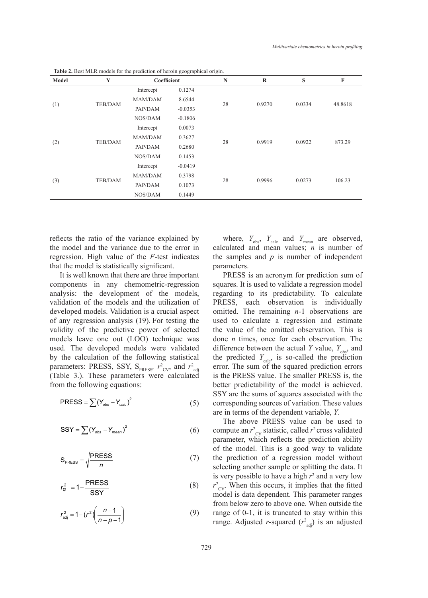| Model | Y              | Coefficient |           | $\mathbb N$ | $\mathbf R$ | S      | F       |
|-------|----------------|-------------|-----------|-------------|-------------|--------|---------|
|       | <b>TEB/DAM</b> | Intercept   | 0.1274    |             | 0.9270      | 0.0334 |         |
|       |                | MAM/DAM     | 8.6544    | 28          |             |        |         |
| (1)   |                | PAP/DAM     | $-0.0353$ |             |             |        | 48.8618 |
|       |                | NOS/DAM     | $-0.1806$ |             |             |        |         |
|       |                | Intercept   | 0.0073    |             | 0.9919      | 0.0922 | 873.29  |
|       |                | MAM/DAM     | 0.3627    | 28          |             |        |         |
| (2)   | <b>TEB/DAM</b> | PAP/DAM     | 0.2680    |             |             |        |         |
|       |                | NOS/DAM     | 0.1453    |             |             |        |         |
|       |                | Intercept   | $-0.0419$ | 28          | 0.9996      | 0.0273 | 106.23  |
|       |                | MAM/DAM     | 0.3798    |             |             |        |         |
| (3)   | <b>TEB/DAM</b> | PAP/DAM     | 0.1073    |             |             |        |         |
|       |                | NOS/DAM     | 0.1449    |             |             |        |         |

**Table 2.** Best MLR models for the prediction of heroin geographical origin.

reflects the ratio of the variance explained by the model and the variance due to the error in regression. High value of the *F*-test indicates that the model is statistically significant.

It is well known that there are three important components in any chemometric-regression analysis: the development of the models, validation of the models and the utilization of developed models. Validation is a crucial aspect of any regression analysis (19). For testing the validity of the predictive power of selected models leave one out (LOO) technique was used. The developed models were validated by the calculation of the following statistical parameters: PRESS, SSY,  $S_{PRESS}$ ,  $r^2_{CV}$ , and  $r^2_{adj}$ (Table 3.). These parameters were calculated from the following equations:

$$
PRESS = \sum (Y_{obs} - Y_{calc})^2
$$
 (5)

$$
SSY = \sum (Y_{obs} - Y_{mean})^2
$$
 (6)

$$
S_{PRESS} = \sqrt{\frac{PRESS}{n}}
$$
 (7)

$$
r_{\rm g}^2 = 1 - \frac{\text{PRESS}}{\text{SSY}} \tag{8}
$$

$$
r_{\text{adj}}^2 = 1 - (r^2) \left( \frac{n-1}{n-p-1} \right) \tag{9}
$$

where,  $Y_{obs}$ ,  $Y_{calc}$  and  $Y_{mean}$  are observed, calculated and mean values; *n* is number of the samples and *p* is number of independent parameters.

PRESS is an acronym for prediction sum of squares. It is used to validate a regression model regarding to its predictability. To calculate PRESS, each observation is individually omitted. The remaining *n*-1 observations are used to calculate a regression and estimate the value of the omitted observation. This is done *n* times, once for each observation. The difference between the actual *Y* value,  $Y_{obs}$ , and the predicted  $Y_{\text{calc}}$ , is so-called the prediction error. The sum of the squared prediction errors is the PRESS value. The smaller PRESS is, the better predictability of the model is achieved. SSY are the sums of squares associated with the corresponding sources of variation. These values are in terms of the dependent variable, *Y*.

The above PRESS value can be used to compute an  $r^2_{\text{CV}}$  statistic, called  $r^2$  cross validated parameter, which reflects the prediction ability of the model. This is a good way to validate the prediction of a regression model without selecting another sample or splitting the data. It is very possible to have a high  $r^2$  and a very low  $r^2_{\text{cv}}$ . When this occurs, it implies that the fitted model is data dependent. This parameter ranges from below zero to above one. When outside the range of 0-1, it is truncated to stay within this range. Adjusted *r*-squared  $(r^2_{\text{adj}})$  is an adjusted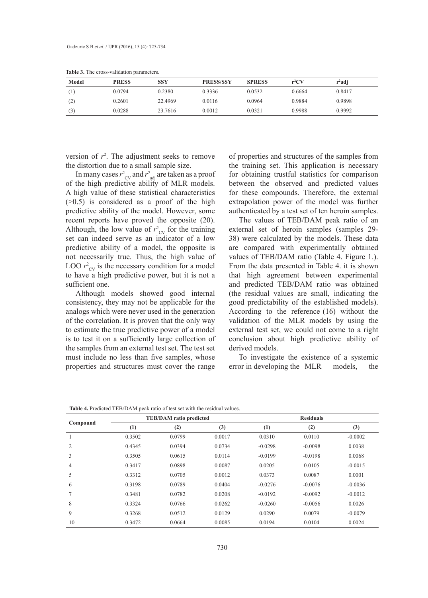| Model | <b>PRESS</b> | SSY     | <b>PRESS/SSY</b> | <b>SPRESS</b> | $r^2CV$ | $r^2$ adj |  |
|-------|--------------|---------|------------------|---------------|---------|-----------|--|
|       | 0.0794       | 0.2380  | 0.3336           | 0.0532        | 0.6664  | 0.8417    |  |
| (2)   | 0.2601       | 22.4969 | 0.0116           | 0.0964        | 0.9884  | 0.9898    |  |
| (3)   | 0.0288       | 23.7616 | 0.0012           | 0.0321        | 0.9988  | 0.9992    |  |

**Table 3.** The cross-validation parameters.

version of  $r^2$ . The adjustment seeks to remove the distortion due to a small sample size.

In many cases  $r^2_{\text{CV}}$  and  $r^2_{\text{adj}}$  are taken as a proof of the high predictive ability of MLR models. A high value of these statistical characteristics  $(0.5)$  is considered as a proof of the high predictive ability of the model. However, some recent reports have proved the opposite (20). Although, the low value of  $r_{\text{cv}}^2$  for the training set can indeed serve as an indicator of a low predictive ability of a model, the opposite is not necessarily true. Thus, the high value of LOO  $r_{\text{cv}}^2$  is the necessary condition for a model to have a high predictive power, but it is not a sufficient one.

Although models showed good internal consistency, they may not be applicable for the analogs which were never used in the generation of the correlation. It is proven that the only way to estimate the true predictive power of a model is to test it on a sufficiently large collection of the samples from an external test set. The test set must include no less than five samples, whose properties and structures must cover the range

of properties and structures of the samples from the training set. This application is necessary for obtaining trustful statistics for comparison between the observed and predicted values for these compounds. Therefore, the external extrapolation power of the model was further authenticated by a test set of ten heroin samples.

The values of TEB/DAM peak ratio of an external set of heroin samples (samples 29- 38) were calculated by the models. These data are compared with experimentally obtained values of TEB/DAM ratio (Table 4. Figure 1.). From the data presented in Table 4. it is shown that high agreement between experimental and predicted TEB/DAM ratio was obtained (the residual values are small, indicating the good predictability of the established models). According to the reference (16) without the validation of the MLR models by using the external test set, we could not come to a right conclusion about high predictive ability of derived models.

To investigate the existence of a systemic error in developing the MLR models, the

| Compound       |        | <b>TEB/DAM</b> ratio predicted |        |           | <b>Residuals</b> |           |
|----------------|--------|--------------------------------|--------|-----------|------------------|-----------|
|                | (1)    | (2)                            | (3)    | (1)       | (2)              | (3)       |
|                | 0.3502 | 0.0799                         | 0.0017 | 0.0310    | 0.0110           | $-0.0002$ |
| $\overline{2}$ | 0.4345 | 0.0394                         | 0.0734 | $-0.0298$ | $-0.0098$        | 0.0038    |
| 3              | 0.3505 | 0.0615                         | 0.0114 | $-0.0199$ | $-0.0198$        | 0.0068    |
| $\overline{4}$ | 0.3417 | 0.0898                         | 0.0087 | 0.0205    | 0.0105           | $-0.0015$ |
| 5              | 0.3312 | 0.0705                         | 0.0012 | 0.0373    | 0.0087           | 0.0001    |
| 6              | 0.3198 | 0.0789                         | 0.0404 | $-0.0276$ | $-0.0076$        | $-0.0036$ |
| 7              | 0.3481 | 0.0782                         | 0.0208 | $-0.0192$ | $-0.0092$        | $-0.0012$ |
| 8              | 0.3324 | 0.0766                         | 0.0262 | $-0.0260$ | $-0.0056$        | 0.0026    |
| 9              | 0.3268 | 0.0512                         | 0.0129 | 0.0290    | 0.0079           | $-0.0079$ |
| 10             | 0.3472 | 0.0664                         | 0.0085 | 0.0194    | 0.0104           | 0.0024    |

**Table 4.** Predicted TEB/DAM peak ratio of test set with the residual values.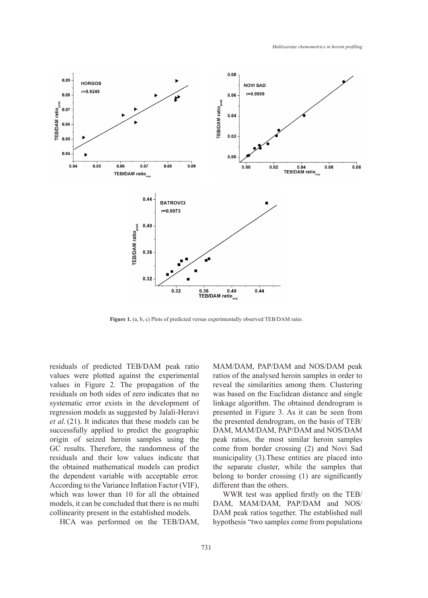

**Figure 1.** (a, b, c) Plots of predicted versus experimentally observed TEB/DAM ratio.

residuals of predicted TEB/DAM peak ratio values were plotted against the experimental values in Figure 2. The propagation of the residuals on both sides of zero indicates that no systematic error exists in the development of regression models as suggested by Jalali-Heravi *et al*. (21). It indicates that these models can be successfully applied to predict the geographic origin of seized heroin samples using the GC results. Therefore, the randomness of the residuals and their low values indicate that the obtained mathematical models can predict the dependent variable with acceptable error. According to the Variance Inflation Factor (VIF), which was lower than 10 for all the obtained models, it can be concluded that there is no multi collinearity present in the established models.

HCA was performed on the TEB/DAM,

MAM/DAM, PAP/DAM and NOS/DAM peak ratios of the analysed heroin samples in order to reveal the similarities among them. Clustering was based on the Euclidean distance and single linkage algorithm. The obtained dendrogram is presented in Figure 3. As it can be seen from the presented dendrogram, on the basis of TEB/ DAM, MAM/DAM, PAP/DAM and NOS/DAM peak ratios, the most similar heroin samples come from border crossing (2) and Novi Sad municipality (3).These entities are placed into the separate cluster, while the samples that belong to border crossing (1) are significantly different than the others.

WWR test was applied firstly on the TEB/ DAM, MAM/DAM, PAP/DAM and NOS/ DAM peak ratios together. The established null hypothesis "two samples come from populations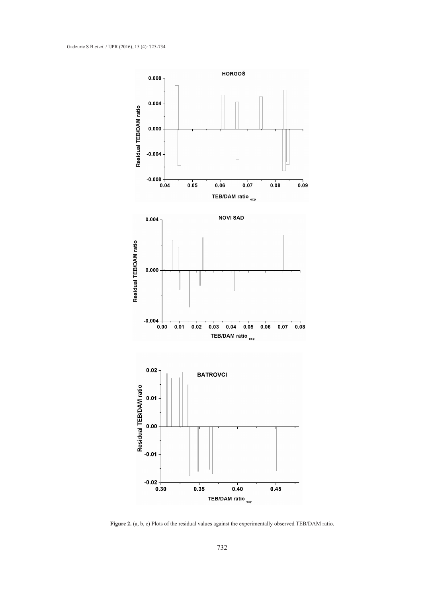

Figure 2. (a, b, c) Plots of the residual values against the experimentally observed TEB/DAM ratio.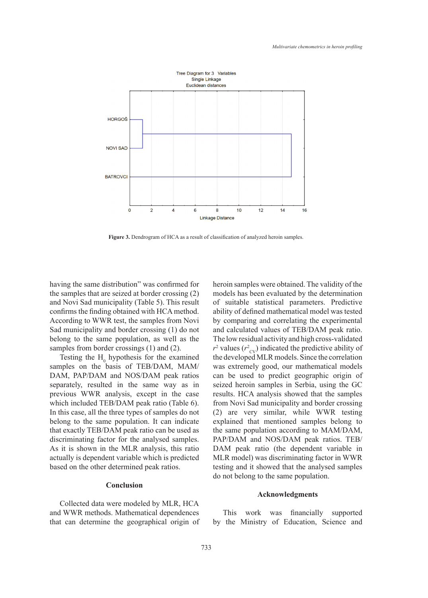

**Figure 3.** Dendrogram of HCA as a result of classification of analyzed heroin samples.

having the same distribution" was confirmed for the samples that are seized at border crossing (2) and Novi Sad municipality (Table 5). This result confirms the finding obtained with HCA method. According to WWR test, the samples from Novi Sad municipality and border crossing (1) do not belong to the same population, as well as the samples from border crossings (1) and (2).

Testing the  $H_0$  hypothesis for the examined samples on the basis of TEB/DAM, MAM/ DAM, PAP/DAM and NOS/DAM peak ratios separately, resulted in the same way as in previous WWR analysis, except in the case which included TEB/DAM peak ratio (Table 6). In this case, all the three types of samples do not belong to the same population. It can indicate that exactly TEB/DAM peak ratio can be used as discriminating factor for the analysed samples. As it is shown in the MLR analysis, this ratio actually is dependent variable which is predicted based on the other determined peak ratios.

### **Conclusion**

Collected data were modeled by MLR, HCA and WWR methods. Mathematical dependences that can determine the geographical origin of heroin samples were obtained. The validity of the models has been evaluated by the determination of suitable statistical parameters. Predictive ability of defined mathematical model was tested by comparing and correlating the experimental and calculated values of TEB/DAM peak ratio. The low residual activity and high cross-validated  $r^2$  values ( $r^2_{\text{CV}}$ ) indicated the predictive ability of the developed MLR models. Since the correlation was extremely good, our mathematical models can be used to predict geographic origin of seized heroin samples in Serbia, using the GC results. HCA analysis showed that the samples from Novi Sad municipality and border crossing (2) are very similar, while WWR testing explained that mentioned samples belong to the same population according to MAM/DAM, PAP/DAM and NOS/DAM peak ratios. TEB/ DAM peak ratio (the dependent variable in MLR model) was discriminating factor in WWR testing and it showed that the analysed samples do not belong to the same population.

#### **Acknowledgments**

This work was financially supported by the Ministry of Education, Science and